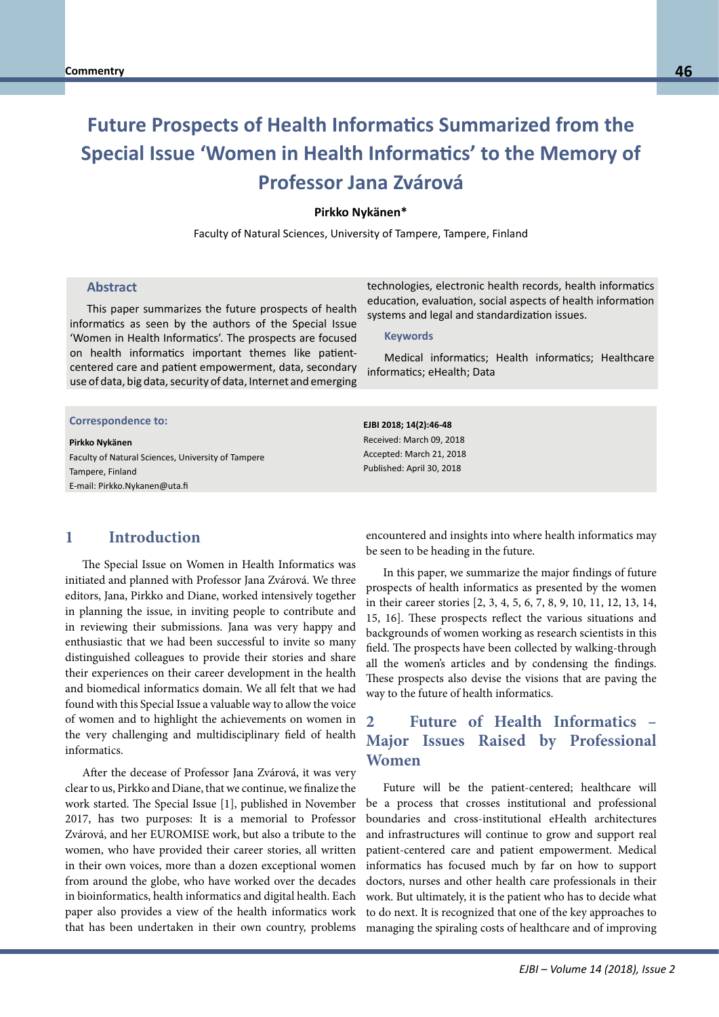# **Future Prospects of Health Informatics Summarized from the Special Issue 'Women in Health Informatics' to the Memory of Professor Jana Zvárová**

#### **Pirkko Nykänen\***

Faculty of Natural Sciences, University of Tampere, Tampere, Finland

#### **Abstract**

This paper summarizes the future prospects of health informatics as seen by the authors of the Special Issue 'Women in Health Informatics'. The prospects are focused on health informatics important themes like patientcentered care and patient empowerment, data, secondary use of data, big data, security of data, Internet and emerging

# **Correspondence to: Correspondence to:**

#### **Pirkko Nykänen**

**Prof. Dr. habit. Bernd Blood Blood Blood Blood Blood Blood Blood Blood Blood Blood Blood Blood Blood Blood Blood** Faculty of Natural Sciences, University of Tampere E-mail: bernd.blobel@klinik.uni-regensburg.de E-mail: Pirkko.Nykanen@uta.fi Tampere, Finland

## **1 Introduction**

The Special Issue on Women in Health Informatics was initiated and planned with Professor Jana Zvárová. We three editors, Jana, Pirkko and Diane, worked intensively together in planning the issue, in inviting people to contribute and in reviewing their submissions. Jana was very happy and enthusiastic that we had been successful to invite so many distinguished colleagues to provide their stories and share their experiences on their career development in the health and biomedical informatics domain. We all felt that we had found with this Special Issue a valuable way to allow the voice of women and to highlight the achievements on women in the very challenging and multidisciplinary field of health informatics.

After the decease of Professor Jana Zvárová, it was very clear to us, Pirkko and Diane, that we continue, we finalize the work started. The Special Issue [1], published in November 2017, has two purposes: It is a memorial to Professor Zvárová, and her EUROMISE work, but also a tribute to the women, who have provided their career stories, all written in their own voices, more than a dozen exceptional women from around the globe, who have worked over the decades in bioinformatics, health informatics and digital health. Each paper also provides a view of the health informatics work that has been undertaken in their own country, problems technologies, electronic health records, health informatics education, evaluation, social aspects of health information systems and legal and standardization issues.

#### **Keywords**

Medical informatics; Health informatics; Healthcare informatics; eHealth; Data

**EJBI 2018; 14(2):46-48** Received: March 09, 2018 Accepted: March 21, 2018 Published: April 30, 2018

encountered and insights into where health informatics may be seen to be heading in the future.

In this paper, we summarize the major findings of future prospects of health informatics as presented by the women in their career stories [2, 3, 4, 5, 6, 7, 8, 9, 10, 11, 12, 13, 14, 15, 16]. These prospects reflect the various situations and backgrounds of women working as research scientists in this field. The prospects have been collected by walking-through all the women's articles and by condensing the findings. These prospects also devise the visions that are paving the way to the future of health informatics.

# **2 Future of Health Informatics – Major Issues Raised by Professional Women**

Future will be the patient-centered; healthcare will be a process that crosses institutional and professional boundaries and cross-institutional eHealth architectures and infrastructures will continue to grow and support real patient-centered care and patient empowerment. Medical informatics has focused much by far on how to support doctors, nurses and other health care professionals in their work. But ultimately, it is the patient who has to decide what to do next. It is recognized that one of the key approaches to managing the spiraling costs of healthcare and of improving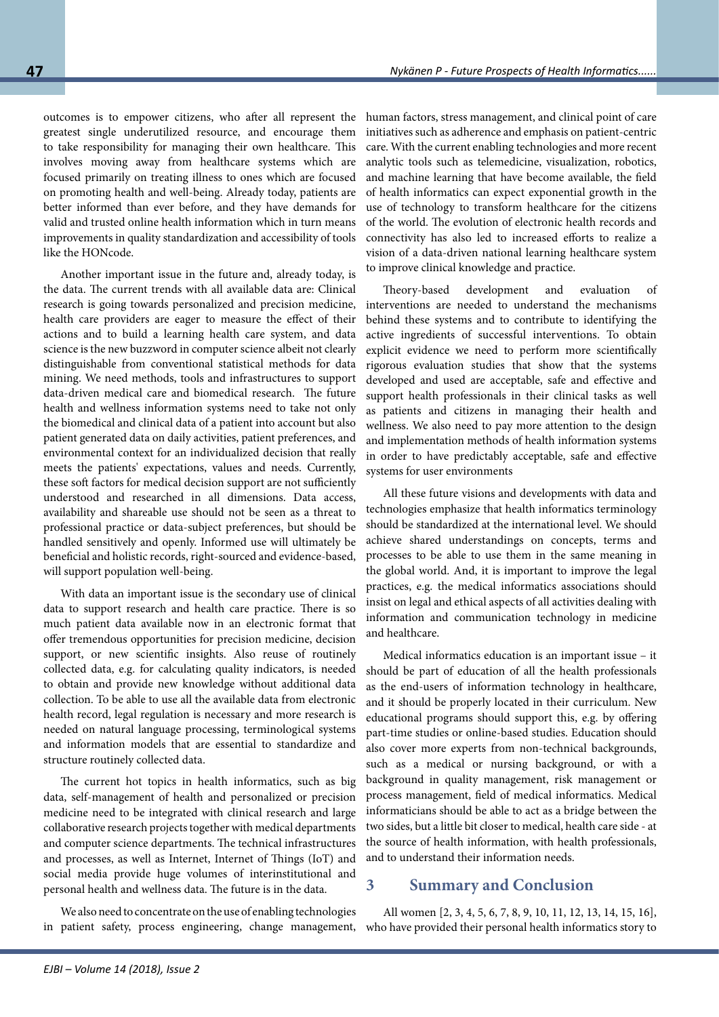outcomes is to empower citizens, who after all represent the greatest single underutilized resource, and encourage them to take responsibility for managing their own healthcare. This involves moving away from healthcare systems which are focused primarily on treating illness to ones which are focused on promoting health and well-being. Already today, patients are better informed than ever before, and they have demands for valid and trusted online health information which in turn means improvements in quality standardization and accessibility of tools like the HONcode.

Another important issue in the future and, already today, is the data. The current trends with all available data are: Clinical research is going towards personalized and precision medicine, health care providers are eager to measure the effect of their actions and to build a learning health care system, and data science is the new buzzword in computer science albeit not clearly distinguishable from conventional statistical methods for data mining. We need methods, tools and infrastructures to support data-driven medical care and biomedical research. The future health and wellness information systems need to take not only the biomedical and clinical data of a patient into account but also patient generated data on daily activities, patient preferences, and environmental context for an individualized decision that really meets the patients' expectations, values and needs. Currently, these soft factors for medical decision support are not sufficiently understood and researched in all dimensions. Data access, availability and shareable use should not be seen as a threat to professional practice or data-subject preferences, but should be handled sensitively and openly. Informed use will ultimately be beneficial and holistic records, right-sourced and evidence-based, will support population well-being.

With data an important issue is the secondary use of clinical data to support research and health care practice. There is so much patient data available now in an electronic format that offer tremendous opportunities for precision medicine, decision support, or new scientific insights. Also reuse of routinely collected data, e.g. for calculating quality indicators, is needed to obtain and provide new knowledge without additional data collection. To be able to use all the available data from electronic health record, legal regulation is necessary and more research is needed on natural language processing, terminological systems and information models that are essential to standardize and structure routinely collected data.

The current hot topics in health informatics, such as big data, self-management of health and personalized or precision medicine need to be integrated with clinical research and large collaborative research projects together with medical departments and computer science departments. The technical infrastructures and processes, as well as Internet, Internet of Things (IoT) and social media provide huge volumes of interinstitutional and personal health and wellness data. The future is in the data.

We also need to concentrate on the use of enabling technologies in patient safety, process engineering, change management,

human factors, stress management, and clinical point of care initiatives such as adherence and emphasis on patient-centric care. With the current enabling technologies and more recent analytic tools such as telemedicine, visualization, robotics, and machine learning that have become available, the field of health informatics can expect exponential growth in the use of technology to transform healthcare for the citizens of the world. The evolution of electronic health records and connectivity has also led to increased efforts to realize a vision of a data-driven national learning healthcare system to improve clinical knowledge and practice.

Theory-based development and evaluation of interventions are needed to understand the mechanisms behind these systems and to contribute to identifying the active ingredients of successful interventions. To obtain explicit evidence we need to perform more scientifically rigorous evaluation studies that show that the systems developed and used are acceptable, safe and effective and support health professionals in their clinical tasks as well as patients and citizens in managing their health and wellness. We also need to pay more attention to the design and implementation methods of health information systems in order to have predictably acceptable, safe and effective systems for user environments

All these future visions and developments with data and technologies emphasize that health informatics terminology should be standardized at the international level. We should achieve shared understandings on concepts, terms and processes to be able to use them in the same meaning in the global world. And, it is important to improve the legal practices, e.g. the medical informatics associations should insist on legal and ethical aspects of all activities dealing with information and communication technology in medicine and healthcare.

Medical informatics education is an important issue – it should be part of education of all the health professionals as the end-users of information technology in healthcare, and it should be properly located in their curriculum. New educational programs should support this, e.g. by offering part-time studies or online-based studies. Education should also cover more experts from non-technical backgrounds, such as a medical or nursing background, or with a background in quality management, risk management or process management, field of medical informatics. Medical informaticians should be able to act as a bridge between the two sides, but a little bit closer to medical, health care side - at the source of health information, with health professionals, and to understand their information needs.

# **3 Summary and Conclusion**

All women [2, 3, 4, 5, 6, 7, 8, 9, 10, 11, 12, 13, 14, 15, 16], who have provided their personal health informatics story to